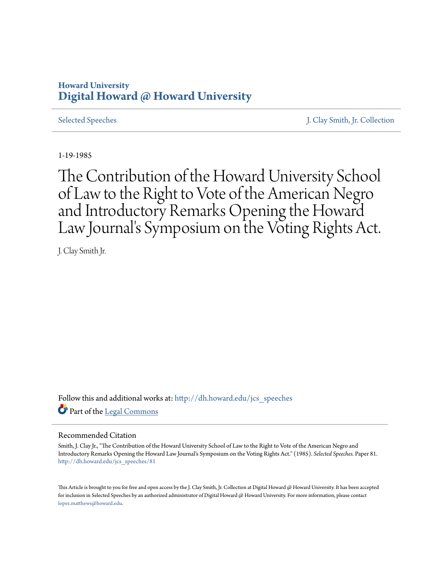## **Howard University [Digital Howard @ Howard University](http://dh.howard.edu?utm_source=dh.howard.edu%2Fjcs_speeches%2F81&utm_medium=PDF&utm_campaign=PDFCoverPages)**

[Selected Speeches](http://dh.howard.edu/jcs_speeches?utm_source=dh.howard.edu%2Fjcs_speeches%2F81&utm_medium=PDF&utm_campaign=PDFCoverPages) [J. Clay Smith, Jr. Collection](http://dh.howard.edu/jcsmith?utm_source=dh.howard.edu%2Fjcs_speeches%2F81&utm_medium=PDF&utm_campaign=PDFCoverPages)

1-19-1985

The Contribution of the Howard University School of Law to the Right to Vote of the American Negro and Introductory Remarks Opening the Howard Law Journal's Symposium on the Voting Rights Act.

J. Clay Smith Jr.

Follow this and additional works at: [http://dh.howard.edu/jcs\\_speeches](http://dh.howard.edu/jcs_speeches?utm_source=dh.howard.edu%2Fjcs_speeches%2F81&utm_medium=PDF&utm_campaign=PDFCoverPages) Part of the [Legal Commons](http://network.bepress.com/hgg/discipline/502?utm_source=dh.howard.edu%2Fjcs_speeches%2F81&utm_medium=PDF&utm_campaign=PDFCoverPages)

## Recommended Citation

Smith, J. Clay Jr., "The Contribution of the Howard University School of Law to the Right to Vote of the American Negro and Introductory Remarks Opening the Howard Law Journal's Symposium on the Voting Rights Act." (1985). *Selected Speeches.* Paper 81. [http://dh.howard.edu/jcs\\_speeches/81](http://dh.howard.edu/jcs_speeches/81?utm_source=dh.howard.edu%2Fjcs_speeches%2F81&utm_medium=PDF&utm_campaign=PDFCoverPages)

This Article is brought to you for free and open access by the J. Clay Smith, Jr. Collection at Digital Howard @ Howard University. It has been accepted for inclusion in Selected Speeches by an authorized administrator of Digital Howard @ Howard University. For more information, please contact [lopez.matthews@howard.edu.](mailto:lopez.matthews@howard.edu)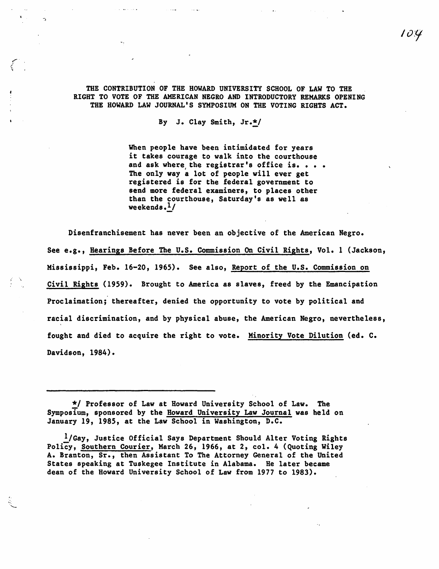THE CONTRIBUTION OF THE HOWARD UNIVERSITY SCHOOL OF LAW TO THE RIGHT TO VOTE OF THE AMERICAN NEGRO AND INTRODUCTORY REMARKS OPENING THE HOWARD LAW JOURNAL'S SYMPOSIUM ON THE VOTING RIGHTS ACT.

By J. Clay Smith, Jr.\*/

When people have been intimidated for years it takes courage to walk into the courthouse and ask where the registrar's office is. . . . The only way a lot of people will ever get registered is for the federal government to send more federal examiners, to places other than the courthouse, Saturday's as well as weekends. $\frac{1}{2}$ 

Disenfranchisement has never been an objective of the American Negro. See e.g., Hearings Before The U.S. Commission On Civil Rights, Vol. 1 (Jackson, Mississippi, Feb. 16-20, 1965). See also, Report of the U.S. Commission on Civil Rights (1959). Brought to America as slaves, freed by the Emancipation Proclaimation; thereafter, denied the opportunity to vote by political and racial discrimination, and by physical abuse, the American Negro, nevertheless, fought and died to acquire the right to vote. Minority Vote Dilution (ed. C. Davidson, 1984).

\*/ Professor of Law at Howard University School of Law. The Symposium, sponsored by the Boward University Law Journal was held on January 19, 1985, at the Law School in Washington, D.C.

I/Gay, Justice Official Says Department Should Alter Voting Rights Policy, Southern Courier, March 26, 1966, at 2, col. 4 (Quoting Wiley A. Branton, Sr., then Assistant To The Attorney General of the United States speaking at Tuskegee Institute in Alabama. He later became dean of the Boward University School of Law from 1977 to 1983).

'''-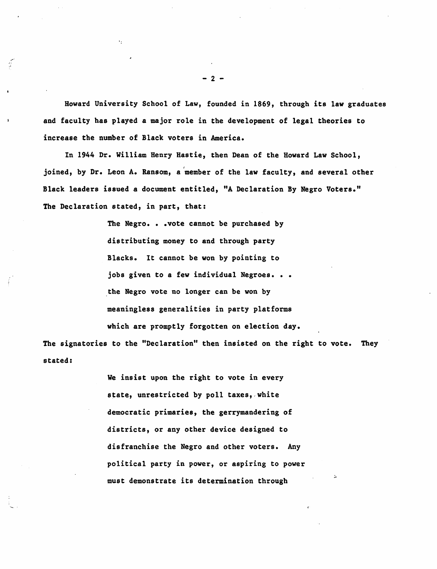Howard University School of Law, founded in 1869, through its law graduates and faculty has played a major role in the development of legal theories to increase the number of Black voters in America.

In 1944 Dr. William Henry Hastie, then Dean of the Howard Law School, joined, by Dr. Leon A. Ransom, a 'member of the law faculty, and several other Black leaders issued a document entitled, "A Declaration By Negro Voters." The Declaration stated, in part, that:

> The Negro. • .vote cannot be purchased by distributing money to and through party Blacks. It cannot be won by pointing to jobs given to a few individual Negroes. . . the Negro vote no longer can be won by meaningless generalities in party platforms which are promptly forgotten on election day.

The signatories to the "Declaration" then insisted on the right to vote. They stated:

> We insist upon the right to vote in every state, unrestricted by poll taxes, white democratic primaries, the gerrymandering of districts, or any other device designed to disfranchise the Negro and other voters. Any political party in power, or aspiring to power must demonstrate its determination through

- 2 -

,',' "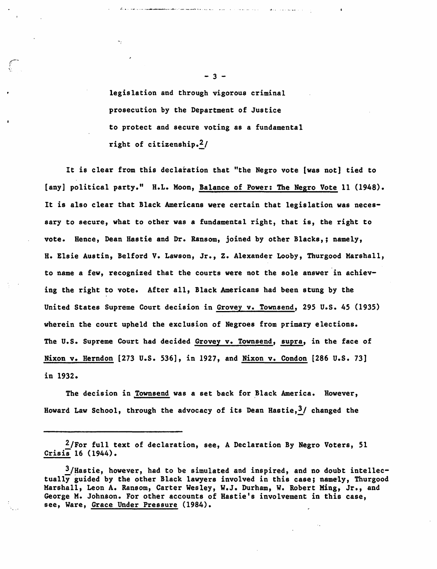legislation and through vigorous criminal prosecution by the Department of Justice to protect and secure voting as a fundamental right of citizenship. $2/$ 

ال<br>الأربون أو إلى الرابعة الأقامة ويتم العمل " بالأمراكية المتوقفة مقامة الأقامية المديرين ا

It is clear from this declaration that "the Negro vote [was not] tied to [any] political party." H.L. Moon, Balance of Power: The Negro Vote 11 (1948). It is also clear that Black Americans were certain that legislation was necessary to secure, what to other was a fundamental right, that is, the right to vote. Hence, Dean Hastie and Dr. Ransom, joined by other Blacks,; namely, H. Elsie Austin, Belford V. Lawson, Jr., Z. Alexander Looby, Thurgood Marshall, to name a few, recognized that the courts were not the sole answer in achieving the right to vote. After all, Black Americans had been stung by the United States Supreme Court decision in Grovey v. Townsend, 295 U.S. 45 (1935) wherein the court upheld the exclusion of Negroes from primary elections. The U.s. Supreme Court had decided Grovey v. Townsend, supra, in the face of Nixon v. Herndon [273 u.S. 536], in 1927, and Nixon v. Condon [286 U.S. 73] in 1932.

The decision in Townsend was a set back for Black America. However, Howard Law School, through the advocacy of its Dean Hastie,  $\frac{3}{2}$  changed the

 $2/$ For full text of declaration, see, A Declaration By Negro Voters, 51 Crisis 16 (1944).

 $3$ /Hastie, however, had to be simulated and inspired, and no doubt intellectually guided by the other Black lawyers involved in this case; namely, Thurgood Marshall, Leon A. Ransom, Carter Wesley, W.J. Durham, W. Robert Ming, Jr., and George M. Johnson. For other accounts of Hastie's involvement in this case, see, Ware, Grace Under Pressure (1984).

 $-3 -$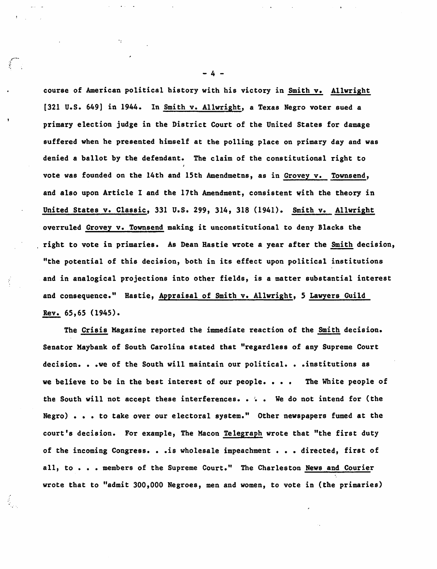course of American political history with his victory in Smith v. Allwright [321 U.S. 649] in 1944. In Smith v. Allwright, a Texas Negro voter sued a primary election judge in the District Court of the United States for damage suffered when he presented himself at the polling place on primary day and was denied a ballot by the defendant. The claim of the constitutional right to vote was founded on the 14th and 15th Amendmetns, as in Grovey v. Townsend, and also upon Article I and the 17th Amendment, consistent with the theory in United States v. Classic, 331 U.S. 299, 314, 318 (1941). Smith v. Allwright overruled Grovey v. Townsend making it unconstitutional to deny Blacks the right to vote in primaries. As Dean Hastie wrote a year after the Smith decision, "the potential of this decision, both in its effect upon political institutions and in analogical projections into other fields, is a matter substantial interest and consequence." Hastie, Appraisal of Smith v. Allwright, 5 Lawyers Guild Rev. 65,65 (1945).

The Crisis Magazine reported the immediate reaction of the Smith decision. Senator Haybank of South Carolina stated that "regardless of any Supreme Court decision. . .we of the South will maintain our political. . . institutions as we believe to be in the best interest of our people. . . . The White people of the South will not accept these interferences. . . We do not intend for (the Negro) . . . to take over our electoral system." Other newspapers fumed at the court's decision. For example, The Macon Telegraph wrote that "the first duty of the incoming Congress. . . is wholesale impeachment . . . directed, first of all, to . . . members of the Supreme Court." The Charleston News and Courier wrote that to "admit 300,000 Negroes, men and women, to vote in (the primaries)

- 4 -